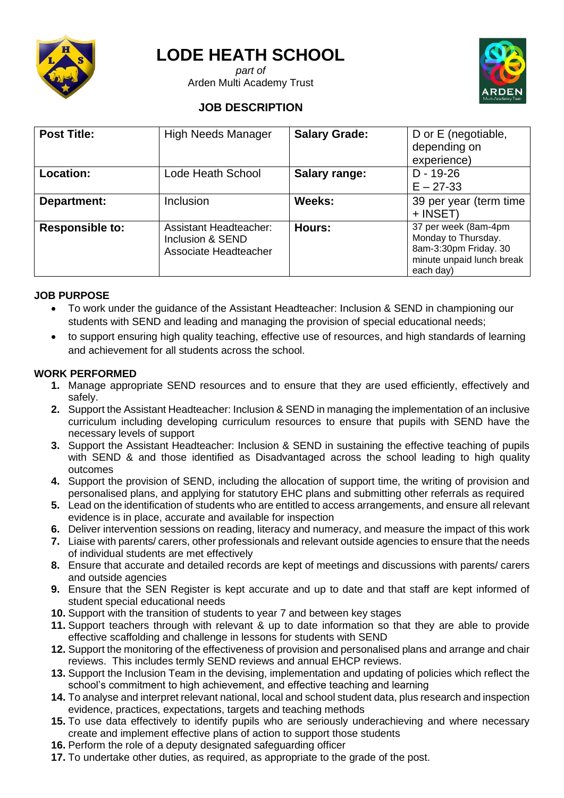

# **LODE HEATH SCHOOL**

*part of* Arden Multi Academy Trust



# **JOB DESCRIPTION**

| <b>Post Title:</b>     | <b>High Needs Manager</b>                                           | <b>Salary Grade:</b> | D or E (negotiable,<br>depending on<br>experience)                                                             |
|------------------------|---------------------------------------------------------------------|----------------------|----------------------------------------------------------------------------------------------------------------|
| <b>Location:</b>       | Lode Heath School                                                   | Salary range:        | $D - 19 - 26$<br>$E - 27 - 33$                                                                                 |
| Department:            | Inclusion                                                           | Weeks:               | 39 per year (term time<br>+ INSET)                                                                             |
| <b>Responsible to:</b> | Assistant Headteacher:<br>Inclusion & SEND<br>Associate Headteacher | Hours:               | 37 per week (8am-4pm<br>Monday to Thursday.<br>8am-3:30pm Friday. 30<br>minute unpaid lunch break<br>each day) |

# **JOB PURPOSE**

- To work under the guidance of the Assistant Headteacher: Inclusion & SEND in championing our students with SEND and leading and managing the provision of special educational needs;
- to support ensuring high quality teaching, effective use of resources, and high standards of learning and achievement for all students across the school.

# **WORK PERFORMED**

- **1.** Manage appropriate SEND resources and to ensure that they are used efficiently, effectively and safely.
- **2.** Support the Assistant Headteacher: Inclusion & SEND in managing the implementation of an inclusive curriculum including developing curriculum resources to ensure that pupils with SEND have the necessary levels of support
- **3.** Support the Assistant Headteacher: Inclusion & SEND in sustaining the effective teaching of pupils with SEND & and those identified as Disadvantaged across the school leading to high quality outcomes
- **4.** Support the provision of SEND, including the allocation of support time, the writing of provision and personalised plans, and applying for statutory EHC plans and submitting other referrals as required
- **5.** Lead on the identification of students who are entitled to access arrangements, and ensure all relevant evidence is in place, accurate and available for inspection
- **6.** Deliver intervention sessions on reading, literacy and numeracy, and measure the impact of this work
- **7.** Liaise with parents/ carers, other professionals and relevant outside agencies to ensure that the needs of individual students are met effectively
- **8.** Ensure that accurate and detailed records are kept of meetings and discussions with parents/ carers and outside agencies
- **9.** Ensure that the SEN Register is kept accurate and up to date and that staff are kept informed of student special educational needs
- **10.** Support with the transition of students to year 7 and between key stages
- **11.** Support teachers through with relevant & up to date information so that they are able to provide effective scaffolding and challenge in lessons for students with SEND
- **12.** Support the monitoring of the effectiveness of provision and personalised plans and arrange and chair reviews. This includes termly SEND reviews and annual EHCP reviews.
- **13.** Support the Inclusion Team in the devising, implementation and updating of policies which reflect the school's commitment to high achievement, and effective teaching and learning
- **14.** To analyse and interpret relevant national, local and school student data, plus research and inspection evidence, practices, expectations, targets and teaching methods
- **15.** To use data effectively to identify pupils who are seriously underachieving and where necessary create and implement effective plans of action to support those students
- **16.** Perform the role of a deputy designated safeguarding officer
- **17.** To undertake other duties, as required, as appropriate to the grade of the post.